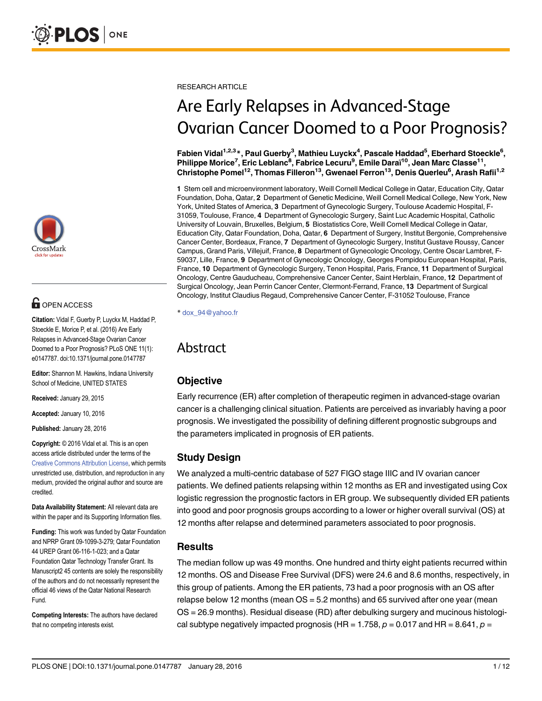

## **OPEN ACCESS**

Citation: Vidal F, Guerby P, Luyckx M, Haddad P, Stoeckle E, Morice P, et al. (2016) Are Early Relapses in Advanced-Stage Ovarian Cancer Doomed to a Poor Prognosis? PLoS ONE 11(1): e0147787. doi:10.1371/journal.pone.0147787

Editor: Shannon M. Hawkins, Indiana University School of Medicine, UNITED STATES

Received: January 29, 2015

Accepted: January 10, 2016

Published: January 28, 2016

Copyright: © 2016 Vidal et al. This is an open access article distributed under the terms of the [Creative Commons Attribution License,](http://creativecommons.org/licenses/by/4.0/) which permits unrestricted use, distribution, and reproduction in any medium, provided the original author and source are credited.

Data Availability Statement: All relevant data are within the paper and its Supporting Information files.

Funding: This work was funded by Qatar Foundation and NPRP Grant 09-1099-3-279; Qatar Foundation 44 UREP Grant 06-116-1-023; and a Qatar Foundation Qatar Technology Transfer Grant. Its Manuscript2 45 contents are solely the responsibility of the authors and do not necessarily represent the official 46 views of the Qatar National Research Fund.

Competing Interests: The authors have declared that no competing interests exist.

RESEARCH ARTICLE

# Are Early Relapses in Advanced-Stage Ovarian Cancer Doomed to a Poor Prognosis?

Fabien Vidal<sup>1,2,3</sup>\*, Paul Guerby<sup>3</sup>, Mathieu Luyckx<sup>4</sup>, Pascale Haddad<sup>5</sup>, Eberhard Stoeckle<sup>6</sup>, Philippe Morice<sup>7</sup>, Eric Leblanc<sup>8</sup>, Fabrice Lecuru<sup>9</sup>, Emile Daraï<sup>10</sup>, Jean Marc Classe<sup>11</sup>, Christophe Pomel<sup>12</sup>, Thomas Filleron<sup>13</sup>, Gwenael Ferron<sup>13</sup>, Denis Querleu<sup>6</sup>, Arash Rafii<sup>1,2</sup>

1 Stem cell and microenvironment laboratory, Weill Cornell Medical College in Qatar, Education City, Qatar Foundation, Doha, Qatar, 2 Department of Genetic Medicine, Weill Cornell Medical College, New York, New York, United States of America, 3 Department of Gynecologic Surgery, Toulouse Academic Hospital, F-31059, Toulouse, France, 4 Department of Gynecologic Surgery, Saint Luc Academic Hospital, Catholic University of Louvain, Bruxelles, Belgium, 5 Biostatistics Core, Weill Cornell Medical College in Qatar, Education City, Qatar Foundation, Doha, Qatar, 6 Department of Surgery, Institut Bergonie, Comprehensive Cancer Center, Bordeaux, France, 7 Department of Gynecologic Surgery, Institut Gustave Roussy, Cancer Campus, Grand Paris, Villejuif, France, 8 Department of Gynecologic Oncology, Centre Oscar Lambret, F-59037, Lille, France, 9 Department of Gynecologic Oncology, Georges Pompidou European Hospital, Paris, France, 10 Department of Gynecologic Surgery, Tenon Hospital, Paris, France, 11 Department of Surgical Oncology, Centre Gauducheau, Comprehensive Cancer Center, Saint Herblain, France, 12 Department of Surgical Oncology, Jean Perrin Cancer Center, Clermont-Ferrand, France, 13 Department of Surgical Oncology, Institut Claudius Regaud, Comprehensive Cancer Center, F-31052 Toulouse, France

\* dox\_94@yahoo.fr

## Abstract

#### **Objective**

Early recurrence (ER) after completion of therapeutic regimen in advanced-stage ovarian cancer is a challenging clinical situation. Patients are perceived as invariably having a poor prognosis. We investigated the possibility of defining different prognostic subgroups and the parameters implicated in prognosis of ER patients.

## Study Design

We analyzed a multi-centric database of 527 FIGO stage IIIC and IV ovarian cancer patients. We defined patients relapsing within 12 months as ER and investigated using Cox logistic regression the prognostic factors in ER group. We subsequently divided ER patients into good and poor prognosis groups according to a lower or higher overall survival (OS) at 12 months after relapse and determined parameters associated to poor prognosis.

## **Results**

The median follow up was 49 months. One hundred and thirty eight patients recurred within 12 months. OS and Disease Free Survival (DFS) were 24.6 and 8.6 months, respectively, in this group of patients. Among the ER patients, 73 had a poor prognosis with an OS after relapse below 12 months (mean OS = 5.2 months) and 65 survived after one year (mean OS = 26.9 months). Residual disease (RD) after debulking surgery and mucinous histological subtype negatively impacted prognosis (HR =  $1.758$ ,  $p = 0.017$  and HR =  $8.641$ ,  $p =$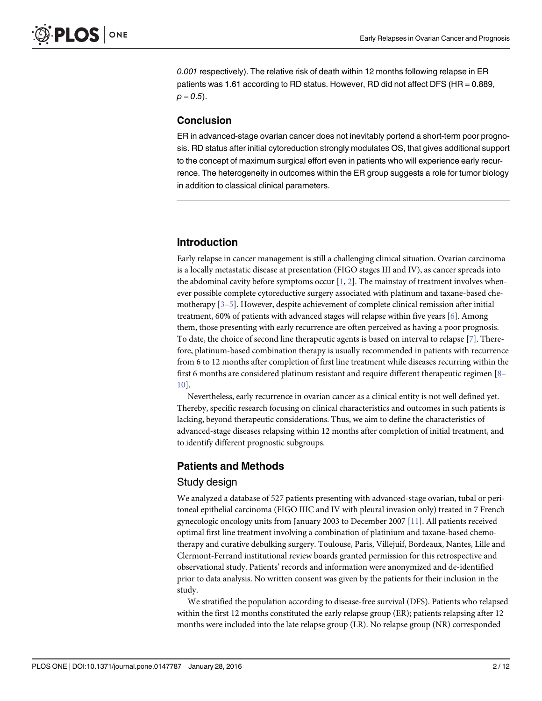<span id="page-1-0"></span>0.001 respectively). The relative risk of death within 12 months following relapse in ER patients was 1.61 according to RD status. However, RD did not affect DFS (HR = 0.889,  $p = 0.5$ ).

#### Conclusion

ER in advanced-stage ovarian cancer does not inevitably portend a short-term poor prognosis. RD status after initial cytoreduction strongly modulates OS, that gives additional support to the concept of maximum surgical effort even in patients who will experience early recurrence. The heterogeneity in outcomes within the ER group suggests a role for tumor biology in addition to classical clinical parameters.

#### Introduction

Early relapse in cancer management is still a challenging clinical situation. Ovarian carcinoma is a locally metastatic disease at presentation (FIGO stages III and IV), as cancer spreads into the abdominal cavity before symptoms occur  $[1, 2]$  $[1, 2]$  $[1, 2]$  $[1, 2]$ . The mainstay of treatment involves whenever possible complete cytoreductive surgery associated with platinum and taxane-based chemotherapy  $[3-5]$  $[3-5]$  $[3-5]$ . However, despite achievement of complete clinical remission after initial treatment, 60% of patients with advanced stages will relapse within five years  $[6]$  $[6]$ . Among them, those presenting with early recurrence are often perceived as having a poor prognosis. To date, the choice of second line therapeutic agents is based on interval to relapse [\[7\]](#page-10-0). Therefore, platinum-based combination therapy is usually recommended in patients with recurrence from 6 to 12 months after completion of first line treatment while diseases recurring within the first 6 months are considered platinum resistant and require different therapeutic regimen [[8](#page-10-0)– [10\]](#page-10-0).

Nevertheless, early recurrence in ovarian cancer as a clinical entity is not well defined yet. Thereby, specific research focusing on clinical characteristics and outcomes in such patients is lacking, beyond therapeutic considerations. Thus, we aim to define the characteristics of advanced-stage diseases relapsing within 12 months after completion of initial treatment, and to identify different prognostic subgroups.

#### Patients and Methods

#### Study design

We analyzed a database of 527 patients presenting with advanced-stage ovarian, tubal or peritoneal epithelial carcinoma (FIGO IIIC and IV with pleural invasion only) treated in 7 French gynecologic oncology units from January 2003 to December 2007 [\[11\]](#page-10-0). All patients received optimal first line treatment involving a combination of platinium and taxane-based chemotherapy and curative debulking surgery. Toulouse, Paris, Villejuif, Bordeaux, Nantes, Lille and Clermont-Ferrand institutional review boards granted permission for this retrospective and observational study. Patients' records and information were anonymized and de-identified prior to data analysis. No written consent was given by the patients for their inclusion in the study.

We stratified the population according to disease-free survival (DFS). Patients who relapsed within the first 12 months constituted the early relapse group (ER); patients relapsing after 12 months were included into the late relapse group (LR). No relapse group (NR) corresponded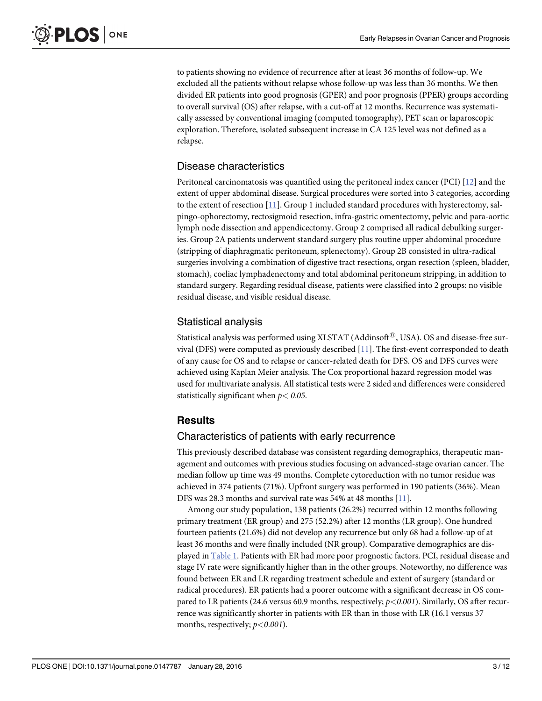<span id="page-2-0"></span>to patients showing no evidence of recurrence after at least 36 months of follow-up. We excluded all the patients without relapse whose follow-up was less than 36 months. We then divided ER patients into good prognosis (GPER) and poor prognosis (PPER) groups according to overall survival (OS) after relapse, with a cut-off at 12 months. Recurrence was systematically assessed by conventional imaging (computed tomography), PET scan or laparoscopic exploration. Therefore, isolated subsequent increase in CA 125 level was not defined as a relapse.

## Disease characteristics

Peritoneal carcinomatosis was quantified using the peritoneal index cancer (PCI) [[12\]](#page-10-0) and the extent of upper abdominal disease. Surgical procedures were sorted into 3 categories, according to the extent of resection [\[11\]](#page-10-0). Group 1 included standard procedures with hysterectomy, salpingo-ophorectomy, rectosigmoid resection, infra-gastric omentectomy, pelvic and para-aortic lymph node dissection and appendicectomy. Group 2 comprised all radical debulking surgeries. Group 2A patients underwent standard surgery plus routine upper abdominal procedure (stripping of diaphragmatic peritoneum, splenectomy). Group 2B consisted in ultra-radical surgeries involving a combination of digestive tract resections, organ resection (spleen, bladder, stomach), coeliac lymphadenectomy and total abdominal peritoneum stripping, in addition to standard surgery. Regarding residual disease, patients were classified into 2 groups: no visible residual disease, and visible residual disease.

## Statistical analysis

Statistical analysis was performed using XLSTAT (Addinsoft<sup>®</sup>, USA). OS and disease-free survival (DFS) were computed as previously described  $[11]$  $[11]$  $[11]$ . The first-event corresponded to death of any cause for OS and to relapse or cancer-related death for DFS. OS and DFS curves were achieved using Kaplan Meier analysis. The Cox proportional hazard regression model was used for multivariate analysis. All statistical tests were 2 sided and differences were considered statistically significant when  $p < 0.05$ .

## Results

#### Characteristics of patients with early recurrence

This previously described database was consistent regarding demographics, therapeutic management and outcomes with previous studies focusing on advanced-stage ovarian cancer. The median follow up time was 49 months. Complete cytoreduction with no tumor residue was achieved in 374 patients (71%). Upfront surgery was performed in 190 patients (36%). Mean DFS was 28.3 months and survival rate was 54% at 48 months [[11](#page-10-0)].

Among our study population, 138 patients (26.2%) recurred within 12 months following primary treatment (ER group) and 275 (52.2%) after 12 months (LR group). One hundred fourteen patients (21.6%) did not develop any recurrence but only 68 had a follow-up of at least 36 months and were finally included (NR group). Comparative demographics are displayed in [Table 1.](#page-3-0) Patients with ER had more poor prognostic factors. PCI, residual disease and stage IV rate were significantly higher than in the other groups. Noteworthy, no difference was found between ER and LR regarding treatment schedule and extent of surgery (standard or radical procedures). ER patients had a poorer outcome with a significant decrease in OS compared to LR patients (24.6 versus 60.9 months, respectively;  $p < 0.001$ ). Similarly, OS after recurrence was significantly shorter in patients with ER than in those with LR (16.1 versus 37 months, respectively;  $p < 0.001$ ).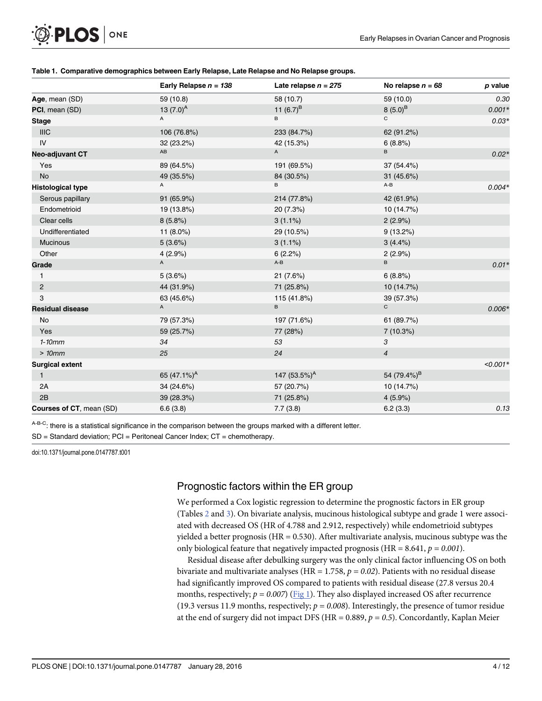<span id="page-3-0"></span>

|  |  | Table 1. Comparative demographics between Early Relapse, Late Relapse and No Relapse groups. |
|--|--|----------------------------------------------------------------------------------------------|
|--|--|----------------------------------------------------------------------------------------------|

|                                 | Early Relapse $n = 138$ | Late relapse $n = 275$ | No relapse $n = 68$     | p value   |
|---------------------------------|-------------------------|------------------------|-------------------------|-----------|
| Age, mean (SD)                  | 59 (10.8)               | 58 (10.7)              | 59 (10.0)               | 0.30      |
| PCI, mean (SD)                  | 13 $(7.0)^A$            | 11 $(6.7)^B$           | $8(5.0)^{B}$            | $0.001*$  |
| <b>Stage</b>                    | $\mathsf{A}$            | B                      | C                       | $0.03*$   |
| <b>IIIC</b>                     | 106 (76.8%)             | 233 (84.7%)            | 62 (91.2%)              |           |
| IV                              | 32 (23.2%)              | 42 (15.3%)             | 6(8.8%)                 |           |
| Neo-adjuvant CT                 | $\mathsf{A}\mathsf{B}$  | $\mathsf{A}$           | B                       | $0.02*$   |
| Yes                             | 89 (64.5%)              | 191 (69.5%)            | 37 (54.4%)              |           |
| <b>No</b>                       | 49 (35.5%)              | 84 (30.5%)             | 31 (45.6%)              |           |
| <b>Histological type</b>        | Α                       | В                      | $A-B$                   | $0.004*$  |
| Serous papillary                | 91 (65.9%)              | 214 (77.8%)            | 42 (61.9%)              |           |
| Endometrioid                    | 19 (13.8%)              | 20 (7.3%)              | 10 (14.7%)              |           |
| Clear cells                     | 8(5.8%)                 | $3(1.1\%)$             | 2(2.9%)                 |           |
| Undifferentiated                | 11 $(8.0\%)$            | 29 (10.5%)             | 9(13.2%)                |           |
| Mucinous                        | 5(3.6%)                 | $3(1.1\%)$             | 3(4.4%)                 |           |
| Other                           | 4(2.9%)                 | 6(2.2%)                | 2(2.9%)                 |           |
| Grade                           | $\mathsf{A}$            | $A - B$                | B.                      | $0.01*$   |
| $\mathbf{1}$                    | 5(3.6%)                 | 21 (7.6%)              | 6(8.8%)                 |           |
| $\overline{c}$                  | 44 (31.9%)              | 71 (25.8%)             | 10 (14.7%)              |           |
| 3                               | 63 (45.6%)              | 115 (41.8%)            | 39 (57.3%)              |           |
| <b>Residual disease</b>         | $\mathsf{A}$            | B                      | $\mathsf{C}$            | $0.006*$  |
| No                              | 79 (57.3%)              | 197 (71.6%)            | 61 (89.7%)              |           |
| Yes                             | 59 (25.7%)              | 77 (28%)               | 7 (10.3%)               |           |
| $1-10mm$                        | 34                      | 53                     | 3                       |           |
| >10mm                           | 25                      | 24                     | $\overline{4}$          |           |
| <b>Surgical extent</b>          |                         |                        |                         | $<0.001*$ |
| $\mathbf{1}$                    | 65 $(47.1\%)^A$         | 147 $(53.5\%)^A$       | 54 (79.4%) <sup>B</sup> |           |
| 2A                              | 34 (24.6%)              | 57 (20.7%)             | 10 (14.7%)              |           |
| 2B                              | 39 (28.3%)              | 71 (25.8%)             | 4(5.9%)                 |           |
| <b>Courses of CT, mean (SD)</b> | 6.6(3.8)                | 7.7(3.8)               | 6.2(3.3)                | 0.13      |

A-B-C: there is a statistical significance in the comparison between the groups marked with a different letter.

SD = Standard deviation; PCI = Peritoneal Cancer Index; CT = chemotherapy.

doi:10.1371/journal.pone.0147787.t001

## Prognostic factors within the ER group

We performed a Cox logistic regression to determine the prognostic factors in ER group (Tables [2](#page-4-0) and [3\)](#page-5-0). On bivariate analysis, mucinous histological subtype and grade 1 were associated with decreased OS (HR of 4.788 and 2.912, respectively) while endometrioid subtypes yielded a better prognosis ( $HR = 0.530$ ). After multivariate analysis, mucinous subtype was the only biological feature that negatively impacted prognosis (HR =  $8.641$ ,  $p = 0.001$ ).

Residual disease after debulking surgery was the only clinical factor influencing OS on both bivariate and multivariate analyses (HR = 1.758,  $p = 0.02$ ). Patients with no residual disease had significantly improved OS compared to patients with residual disease (27.8 versus 20.4 months, respectively;  $p = 0.007$ ) [\(Fig 1](#page-5-0)). They also displayed increased OS after recurrence (19.3 versus 11.9 months, respectively;  $p = 0.008$ ). Interestingly, the presence of tumor residue at the end of surgery did not impact DFS (HR = 0.889,  $p = 0.5$ ). Concordantly, Kaplan Meier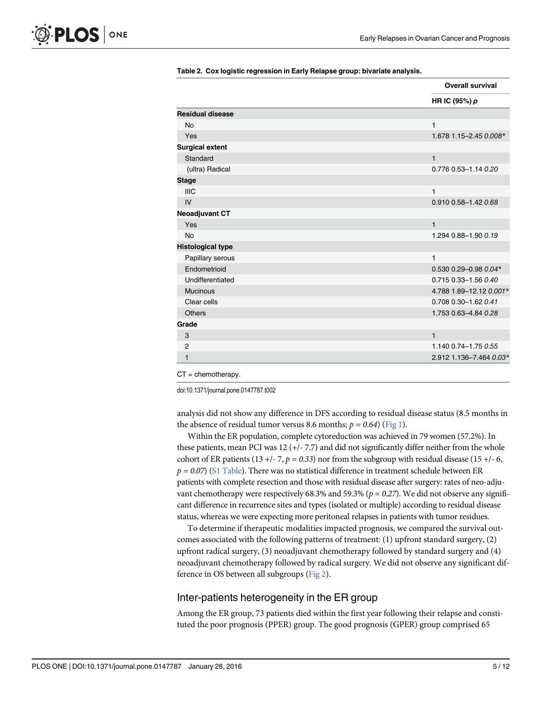<span id="page-4-0"></span>

|                          | <b>Overall survival</b> |
|--------------------------|-------------------------|
|                          | HR IC (95%) p           |
| <b>Residual disease</b>  |                         |
| <b>No</b>                | $\mathbf{1}$            |
| Yes                      | 1.678 1.15-2.45 0.008*  |
| <b>Surgical extent</b>   |                         |
| Standard                 | $\mathbf{1}$            |
| (ultra) Radical          | 0.776 0.53-1.14 0.20    |
| <b>Stage</b>             |                         |
| <b>IIIC</b>              | 1                       |
| IV                       | 0.910 0.58-1.42 0.68    |
| <b>Neoadjuvant CT</b>    |                         |
| Yes                      | $\mathbf{1}$            |
| <b>No</b>                | 1.294 0.88-1.90 0.19    |
| <b>Histological type</b> |                         |
| Papillary serous         | 1                       |
| Endometrioid             | 0.530 0.29-0.98 0.04*   |
| Undifferentiated         | 0.715 0.33-1.56 0.40    |
| <b>Mucinous</b>          | 4.788 1.89-12.12 0.001* |
| Clear cells              | 0.708 0.30-1.62 0.41    |
| <b>Others</b>            | 1.753 0.63-4.84 0.28    |
| Grade                    |                         |
| 3                        | $\mathbf{1}$            |
| $\overline{2}$           | 1.140 0.74-1.75 0.55    |
| 1                        | 2.912 1.136-7.464 0.03* |

[Table 2.](#page-3-0) Cox logistic regression in Early Relapse group: bivariate analysis.

 $CT =$  chemotherapy.

doi:10.1371/journal.pone.0147787.t002

analysis did not show any difference in DFS according to residual disease status (8.5 months in the absence of residual tumor versus 8.6 months;  $p = 0.64$ ) [\(Fig 1\)](#page-5-0).

Within the ER population, complete cytoreduction was achieved in 79 women (57.2%). In these patients, mean PCI was 12 (+/- 7.7) and did not significantly differ neither from the whole cohort of ER patients (13 +/- 7,  $p = 0.33$ ) nor from the subgroup with residual disease (15 +/- 6,  $p=0.07$ ) ([S1 Table\)](#page-9-0). There was no statistical difference in treatment schedule between ER patients with complete resection and those with residual disease after surgery: rates of neo-adjuvant chemotherapy were respectively 68.3% and 59.3% ( $p = 0.27$ ). We did not observe any significant difference in recurrence sites and types (isolated or multiple) according to residual disease status, whereas we were expecting more peritoneal relapses in patients with tumor residues.

To determine if therapeutic modalities impacted prognosis, we compared the survival outcomes associated with the following patterns of treatment: (1) upfront standard surgery, (2) upfront radical surgery, (3) neoadjuvant chemotherapy followed by standard surgery and (4) neoadjuvant chemotherapy followed by radical surgery. We did not observe any significant difference in OS between all subgroups ([Fig 2](#page-6-0)).

#### Inter-patients heterogeneity in the ER group

Among the ER group, 73 patients died within the first year following their relapse and constituted the poor prognosis (PPER) group. The good prognosis (GPER) group comprised 65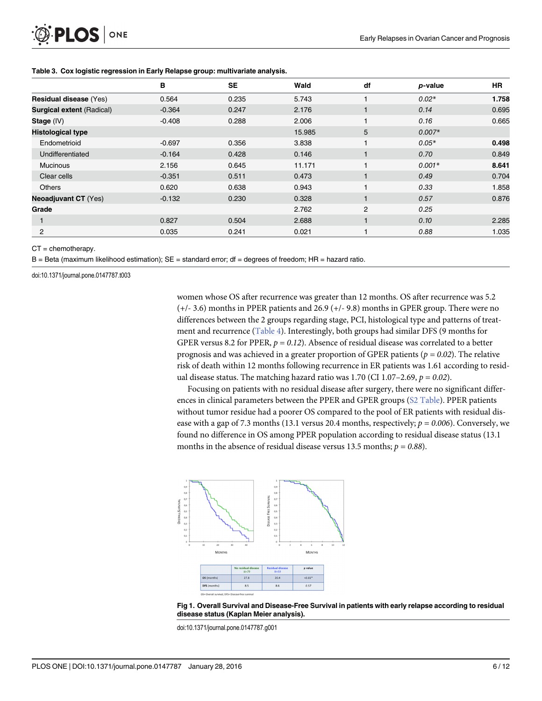<span id="page-5-0"></span>

|                                  | в        | <b>SE</b> | Wald   | df             | p-value  | <b>HR</b> |
|----------------------------------|----------|-----------|--------|----------------|----------|-----------|
| Residual disease (Yes)           | 0.564    | 0.235     | 5.743  |                | $0.02*$  | 1.758     |
| <b>Surgical extent (Radical)</b> | $-0.364$ | 0.247     | 2.176  | $\mathbf{1}$   | 0.14     | 0.695     |
| Stage (IV)                       | $-0.408$ | 0.288     | 2.006  |                | 0.16     | 0.665     |
| <b>Histological type</b>         |          |           | 15.985 | 5              | $0.007*$ |           |
| Endometrioid                     | $-0.697$ | 0.356     | 3.838  |                | $0.05*$  | 0.498     |
| Undifferentiated                 | $-0.164$ | 0.428     | 0.146  | $\mathbf{1}$   | 0.70     | 0.849     |
| <b>Mucinous</b>                  | 2.156    | 0.645     | 11.171 |                | $0.001*$ | 8.641     |
| Clear cells                      | $-0.351$ | 0.511     | 0.473  |                | 0.49     | 0.704     |
| <b>Others</b>                    | 0.620    | 0.638     | 0.943  | 1              | 0.33     | 1.858     |
| <b>Neoadjuvant CT (Yes)</b>      | $-0.132$ | 0.230     | 0.328  | $\mathbf{1}$   | 0.57     | 0.876     |
| Grade                            |          |           | 2.762  | $\overline{c}$ | 0.25     |           |
|                                  | 0.827    | 0.504     | 2.688  | $\mathbf{1}$   | 0.10     | 2.285     |
| 2                                | 0.035    | 0.241     | 0.021  |                | 0.88     | 1.035     |

#### [Table 3.](#page-3-0) Cox logistic regression in Early Relapse group: multivariate analysis.

 $CT =$  chemotherapy.

B = Beta (maximum likelihood estimation); SE = standard error; df = degrees of freedom; HR = hazard ratio.

doi:10.1371/journal.pone.0147787.t003

women whose OS after recurrence was greater than 12 months. OS after recurrence was 5.2 (+/- 3.6) months in PPER patients and 26.9 (+/- 9.8) months in GPER group. There were no differences between the 2 groups regarding stage, PCI, histological type and patterns of treatment and recurrence  $(Table 4)$  $(Table 4)$ . Interestingly, both groups had similar DFS (9 months for GPER versus 8.2 for PPER,  $p = 0.12$ ). Absence of residual disease was correlated to a better prognosis and was achieved in a greater proportion of GPER patients ( $p=0.02$ ). The relative risk of death within 12 months following recurrence in ER patients was 1.61 according to residual disease status. The matching hazard ratio was 1.70 (CI 1.07-2.69,  $p = 0.02$ ).

Focusing on patients with no residual disease after surgery, there were no significant differences in clinical parameters between the PPER and GPER groups ([S2 Table\)](#page-9-0). PPER patients without tumor residue had a poorer OS compared to the pool of ER patients with residual disease with a gap of 7.3 months (13.1 versus 20.4 months, respectively;  $p = 0.006$ ). Conversely, we found no difference in OS among PPER population according to residual disease status (13.1 months in the absence of residual disease versus 13.5 months;  $p = 0.88$ ).





doi:10.1371/journal.pone.0147787.g001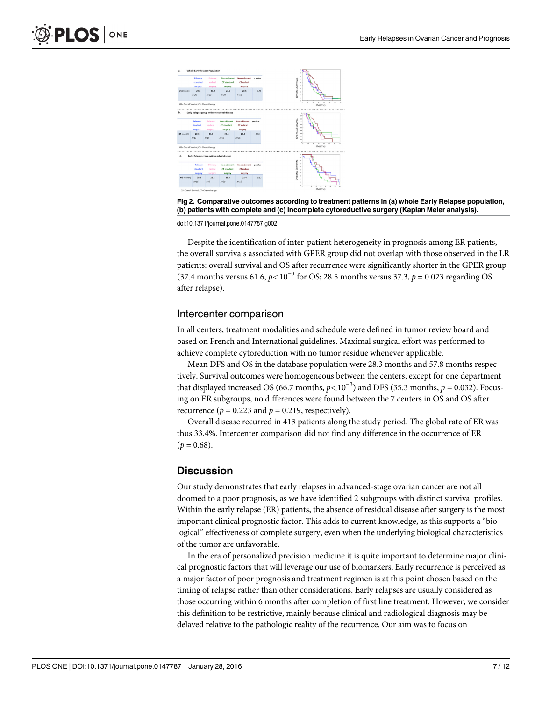<span id="page-6-0"></span>

[Fig 2. C](#page-4-0)omparative outcomes according to treatment patterns in (a) whole Early Relapse population, (b) patients with complete and (c) incomplete cytoreductive surgery (Kaplan Meier analysis).

doi:10.1371/journal.pone.0147787.g002

Despite the identification of inter-patient heterogeneity in prognosis among ER patients, the overall survivals associated with GPER group did not overlap with those observed in the LR patients: overall survival and OS after recurrence were significantly shorter in the GPER group (37.4 months versus 61.6,  $p < 10^{-3}$  for OS; 28.5 months versus 37.3,  $p = 0.023$  regarding OS after relapse).

#### Intercenter comparison

In all centers, treatment modalities and schedule were defined in tumor review board and based on French and International guidelines. Maximal surgical effort was performed to achieve complete cytoreduction with no tumor residue whenever applicable.

Mean DFS and OS in the database population were 28.3 months and 57.8 months respectively. Survival outcomes were homogeneous between the centers, except for one department that displayed increased OS (66.7 months,  $p<10^{-3}$ ) and DFS (35.3 months,  $p = 0.032$ ). Focusing on ER subgroups, no differences were found between the 7 centers in OS and OS after recurrence ( $p = 0.223$  and  $p = 0.219$ , respectively).

Overall disease recurred in 413 patients along the study period. The global rate of ER was thus 33.4%. Intercenter comparison did not find any difference in the occurrence of ER  $(p = 0.68)$ .

#### Discussion

Our study demonstrates that early relapses in advanced-stage ovarian cancer are not all doomed to a poor prognosis, as we have identified 2 subgroups with distinct survival profiles. Within the early relapse (ER) patients, the absence of residual disease after surgery is the most important clinical prognostic factor. This adds to current knowledge, as this supports a "biological" effectiveness of complete surgery, even when the underlying biological characteristics of the tumor are unfavorable.

In the era of personalized precision medicine it is quite important to determine major clinical prognostic factors that will leverage our use of biomarkers. Early recurrence is perceived as a major factor of poor prognosis and treatment regimen is at this point chosen based on the timing of relapse rather than other considerations. Early relapses are usually considered as those occurring within 6 months after completion of first line treatment. However, we consider this definition to be restrictive, mainly because clinical and radiological diagnosis may be delayed relative to the pathologic reality of the recurrence. Our aim was to focus on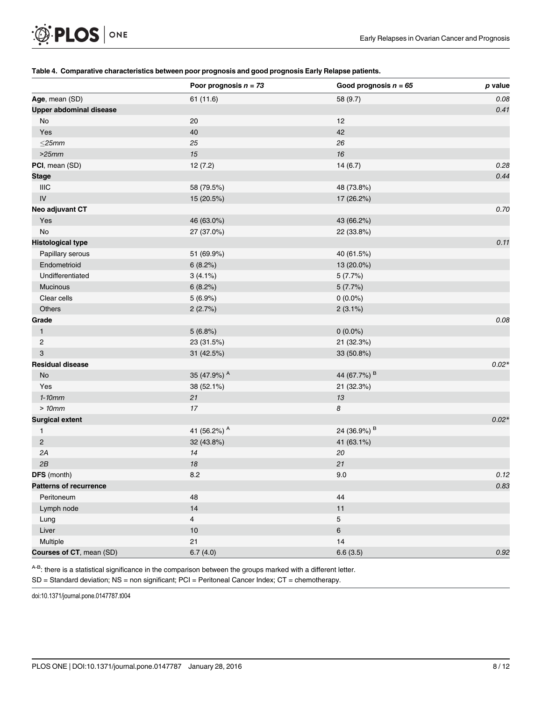# <span id="page-7-0"></span>**OF PLOS** ONE

#### [Table 4.](#page-5-0) Comparative characteristics between poor prognosis and good prognosis Early Relapse patients.

|                                | Poor prognosis $n = 73$ | Good prognosis $n = 65$ | p value |
|--------------------------------|-------------------------|-------------------------|---------|
| Age, mean (SD)                 | 61 (11.6)               | 58 (9.7)                | 0.08    |
| <b>Upper abdominal disease</b> |                         |                         | 0.41    |
| No                             | 20                      | 12                      |         |
| Yes                            | 40                      | 42                      |         |
| $\leq$ 25mm                    | 25                      | 26                      |         |
| >25mm                          | 15                      | 16                      |         |
| PCI, mean (SD)                 | 12(7.2)                 | 14(6.7)                 | 0.28    |
| <b>Stage</b>                   |                         |                         | 0.44    |
| <b>IIIC</b>                    | 58 (79.5%)              | 48 (73.8%)              |         |
| ${\sf IV}$                     | 15 (20.5%)              | 17 (26.2%)              |         |
| Neo adjuvant CT                |                         |                         | 0.70    |
| Yes                            | 46 (63.0%)              | 43 (66.2%)              |         |
| No                             | 27 (37.0%)              | 22 (33.8%)              |         |
| <b>Histological type</b>       |                         |                         | 0.11    |
| Papillary serous               | 51 (69.9%)              | 40 (61.5%)              |         |
| Endometrioid                   | 6(8.2%)                 | 13 (20.0%)              |         |
| Undifferentiated               | $3(4.1\%)$              | 5(7.7%)                 |         |
| Mucinous                       | 6(8.2%)                 | 5(7.7%)                 |         |
| Clear cells                    | 5(6.9%)                 | $0(0.0\%)$              |         |
| Others                         | 2(2.7%)                 | 2(3.1%)                 |         |
| Grade                          |                         |                         | 0.08    |
| $\mathbf{1}$                   | 5(6.8%)                 | $0(0.0\%)$              |         |
| $\overline{c}$                 | 23 (31.5%)              | 21 (32.3%)              |         |
| 3                              | 31 (42.5%)              | 33 (50.8%)              |         |
| <b>Residual disease</b>        |                         |                         | $0.02*$ |
| $\operatorname{\mathsf{No}}$   | 35 (47.9%) A            | 44 (67.7%) <sup>B</sup> |         |
| Yes                            | 38 (52.1%)              | 21 (32.3%)              |         |
| $1-10mm$                       | 21                      | $13\,$                  |         |
| >10mm                          | $17\,$                  | 8                       |         |
| <b>Surgical extent</b>         |                         |                         | $0.02*$ |
| 1                              | 41 (56.2%) A            | 24 (36.9%) <sup>B</sup> |         |
| $\overline{c}$                 | 32 (43.8%)              | 41 (63.1%)              |         |
| 2A                             | 14                      | 20                      |         |
| 2B                             | 18                      | 21                      |         |
| <b>DFS</b> (month)             | 8.2                     | 9.0                     | 0.12    |
| <b>Patterns of recurrence</b>  |                         |                         | 0.83    |
| Peritoneum                     | 48                      | 44                      |         |
| Lymph node                     | 14                      | 11                      |         |
| Lung                           | $\overline{4}$          | $\overline{5}$          |         |
| Liver                          | $10$                    | $\,6\,$                 |         |
| Multiple                       | 21                      | 14                      |         |
| Courses of CT, mean (SD)       | 6.7(4.0)                | 6.6(3.5)                | 0.92    |

A-B: there is a statistical significance in the comparison between the groups marked with a different letter.

SD = Standard deviation; NS = non significant; PCI = Peritoneal Cancer Index; CT = chemotherapy.

doi:10.1371/journal.pone.0147787.t004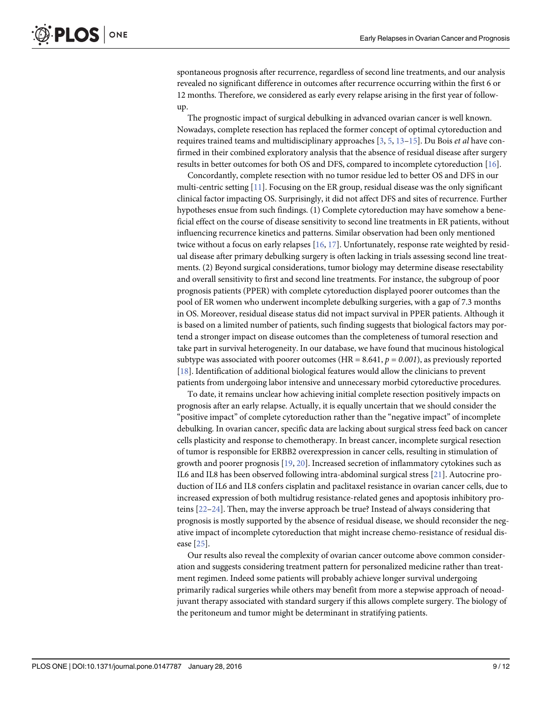<span id="page-8-0"></span>spontaneous prognosis after recurrence, regardless of second line treatments, and our analysis revealed no significant difference in outcomes after recurrence occurring within the first 6 or 12 months. Therefore, we considered as early every relapse arising in the first year of followup.

The prognostic impact of surgical debulking in advanced ovarian cancer is well known. Nowadays, complete resection has replaced the former concept of optimal cytoreduction and requires trained teams and multidisciplinary approaches  $[3, 5, 13-15]$  $[3, 5, 13-15]$  $[3, 5, 13-15]$  $[3, 5, 13-15]$  $[3, 5, 13-15]$  $[3, 5, 13-15]$  $[3, 5, 13-15]$  $[3, 5, 13-15]$ . Du Bois et al have confirmed in their combined exploratory analysis that the absence of residual disease after surgery results in better outcomes for both OS and DFS, compared to incomplete cytoreduction [\[16\]](#page-10-0).

Concordantly, complete resection with no tumor residue led to better OS and DFS in our multi-centric setting [[11](#page-10-0)]. Focusing on the ER group, residual disease was the only significant clinical factor impacting OS. Surprisingly, it did not affect DFS and sites of recurrence. Further hypotheses ensue from such findings. (1) Complete cytoreduction may have somehow a beneficial effect on the course of disease sensitivity to second line treatments in ER patients, without influencing recurrence kinetics and patterns. Similar observation had been only mentioned twice without a focus on early relapses [[16](#page-10-0), [17](#page-10-0)]. Unfortunately, response rate weighted by residual disease after primary debulking surgery is often lacking in trials assessing second line treatments. (2) Beyond surgical considerations, tumor biology may determine disease resectability and overall sensitivity to first and second line treatments. For instance, the subgroup of poor prognosis patients (PPER) with complete cytoreduction displayed poorer outcomes than the pool of ER women who underwent incomplete debulking surgeries, with a gap of 7.3 months in OS. Moreover, residual disease status did not impact survival in PPER patients. Although it is based on a limited number of patients, such finding suggests that biological factors may portend a stronger impact on disease outcomes than the completeness of tumoral resection and take part in survival heterogeneity. In our database, we have found that mucinous histological subtype was associated with poorer outcomes (HR = 8.641,  $p = 0.001$ ), as previously reported [\[18](#page-10-0)]. Identification of additional biological features would allow the clinicians to prevent patients from undergoing labor intensive and unnecessary morbid cytoreductive procedures.

To date, it remains unclear how achieving initial complete resection positively impacts on prognosis after an early relapse. Actually, it is equally uncertain that we should consider the "positive impact" of complete cytoreduction rather than the "negative impact" of incomplete debulking. In ovarian cancer, specific data are lacking about surgical stress feed back on cancer cells plasticity and response to chemotherapy. In breast cancer, incomplete surgical resection of tumor is responsible for ERBB2 overexpression in cancer cells, resulting in stimulation of growth and poorer prognosis [\[19,](#page-10-0) [20\]](#page-10-0). Increased secretion of inflammatory cytokines such as IL6 and IL8 has been observed following intra-abdominal surgical stress [\[21\]](#page-11-0). Autocrine production of IL6 and IL8 confers cisplatin and paclitaxel resistance in ovarian cancer cells, due to increased expression of both multidrug resistance-related genes and apoptosis inhibitory proteins [[22](#page-11-0)–[24\]](#page-11-0). Then, may the inverse approach be true? Instead of always considering that prognosis is mostly supported by the absence of residual disease, we should reconsider the negative impact of incomplete cytoreduction that might increase chemo-resistance of residual disease [[25\]](#page-11-0).

Our results also reveal the complexity of ovarian cancer outcome above common consideration and suggests considering treatment pattern for personalized medicine rather than treatment regimen. Indeed some patients will probably achieve longer survival undergoing primarily radical surgeries while others may benefit from more a stepwise approach of neoadjuvant therapy associated with standard surgery if this allows complete surgery. The biology of the peritoneum and tumor might be determinant in stratifying patients.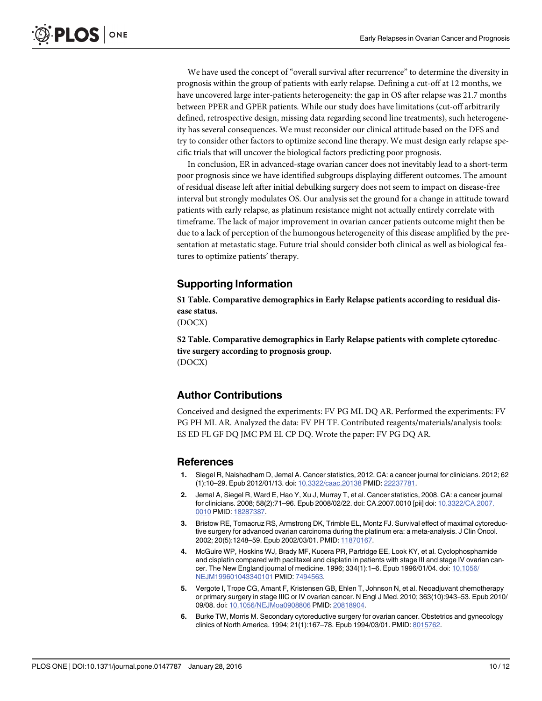<span id="page-9-0"></span>We have used the concept of "overall survival after recurrence" to determine the diversity in prognosis within the group of patients with early relapse. Defining a cut-off at 12 months, we have uncovered large inter-patients heterogeneity: the gap in OS after relapse was 21.7 months between PPER and GPER patients. While our study does have limitations (cut-off arbitrarily defined, retrospective design, missing data regarding second line treatments), such heterogeneity has several consequences. We must reconsider our clinical attitude based on the DFS and try to consider other factors to optimize second line therapy. We must design early relapse specific trials that will uncover the biological factors predicting poor prognosis.

In conclusion, ER in advanced-stage ovarian cancer does not inevitably lead to a short-term poor prognosis since we have identified subgroups displaying different outcomes. The amount of residual disease left after initial debulking surgery does not seem to impact on disease-free interval but strongly modulates OS. Our analysis set the ground for a change in attitude toward patients with early relapse, as platinum resistance might not actually entirely correlate with timeframe. The lack of major improvement in ovarian cancer patients outcome might then be due to a lack of perception of the humongous heterogeneity of this disease amplified by the presentation at metastatic stage. Future trial should consider both clinical as well as biological features to optimize patients' therapy.

## Supporting Information

[S1 Table](http://www.plosone.org/article/fetchSingleRepresentation.action?uri=info:doi/10.1371/journal.pone.0147787.s001). Comparative demographics in Early Relapse patients according to residual disease status.

(DOCX)

[S2 Table](http://www.plosone.org/article/fetchSingleRepresentation.action?uri=info:doi/10.1371/journal.pone.0147787.s002). Comparative demographics in Early Relapse patients with complete cytoreductive surgery according to prognosis group. (DOCX)

#### Author Contributions

Conceived and designed the experiments: FV PG ML DQ AR. Performed the experiments: FV PG PH ML AR. Analyzed the data: FV PH TF. Contributed reagents/materials/analysis tools: ES ED FL GF DQ JMC PM EL CP DQ. Wrote the paper: FV PG DQ AR.

#### References

- [1.](#page-1-0) Siegel R, Naishadham D, Jemal A. Cancer statistics, 2012. CA: a cancer journal for clinicians. 2012; 62 (1):10–29. Epub 2012/01/13. doi: [10.3322/caac.20138](http://dx.doi.org/10.3322/caac.20138) PMID: [22237781](http://www.ncbi.nlm.nih.gov/pubmed/22237781).
- [2.](#page-1-0) Jemal A, Siegel R, Ward E, Hao Y, Xu J, Murray T, et al. Cancer statistics, 2008. CA: a cancer journal for clinicians. 2008; 58(2):71–96. Epub 2008/02/22. doi: CA.2007.0010 [pii] doi: [10.3322/CA.2007.](http://dx.doi.org/10.3322/CA.2007.0010) [0010](http://dx.doi.org/10.3322/CA.2007.0010) PMID: [18287387](http://www.ncbi.nlm.nih.gov/pubmed/18287387).
- [3.](#page-1-0) Bristow RE, Tomacruz RS, Armstrong DK, Trimble EL, Montz FJ. Survival effect of maximal cytoreductive surgery for advanced ovarian carcinoma during the platinum era: a meta-analysis. J Clin Oncol. 2002; 20(5):1248–59. Epub 2002/03/01. PMID: [11870167](http://www.ncbi.nlm.nih.gov/pubmed/11870167).
- 4. McGuire WP, Hoskins WJ, Brady MF, Kucera PR, Partridge EE, Look KY, et al. Cyclophosphamide and cisplatin compared with paclitaxel and cisplatin in patients with stage III and stage IV ovarian cancer. The New England journal of medicine. 1996; 334(1):1–6. Epub 1996/01/04. doi: [10.1056/](http://dx.doi.org/10.1056/NEJM199601043340101) [NEJM199601043340101](http://dx.doi.org/10.1056/NEJM199601043340101) PMID: [7494563.](http://www.ncbi.nlm.nih.gov/pubmed/7494563)
- [5.](#page-1-0) Vergote I, Trope CG, Amant F, Kristensen GB, Ehlen T, Johnson N, et al. Neoadjuvant chemotherapy or primary surgery in stage IIIC or IV ovarian cancer. N Engl J Med. 2010; 363(10):943–53. Epub 2010/ 09/08. doi: [10.1056/NEJMoa0908806](http://dx.doi.org/10.1056/NEJMoa0908806) PMID: [20818904.](http://www.ncbi.nlm.nih.gov/pubmed/20818904)
- [6.](#page-1-0) Burke TW, Morris M. Secondary cytoreductive surgery for ovarian cancer. Obstetrics and gynecology clinics of North America. 1994; 21(1):167–78. Epub 1994/03/01. PMID: [8015762](http://www.ncbi.nlm.nih.gov/pubmed/8015762).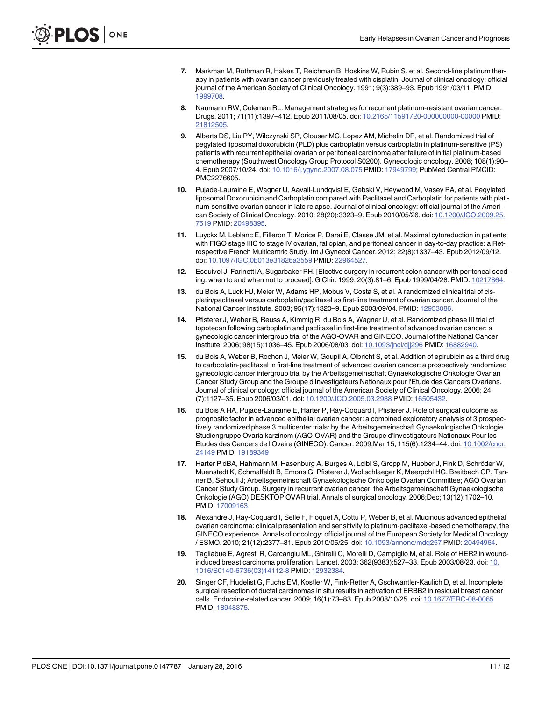- <span id="page-10-0"></span>[7.](#page-1-0) Markman M, Rothman R, Hakes T, Reichman B, Hoskins W, Rubin S, et al. Second-line platinum therapy in patients with ovarian cancer previously treated with cisplatin. Journal of clinical oncology: official journal of the American Society of Clinical Oncology. 1991; 9(3):389–93. Epub 1991/03/11. PMID: [1999708.](http://www.ncbi.nlm.nih.gov/pubmed/1999708)
- [8.](#page-1-0) Naumann RW, Coleman RL. Management strategies for recurrent platinum-resistant ovarian cancer. Drugs. 2011; 71(11):1397–412. Epub 2011/08/05. doi: [10.2165/11591720-000000000-00000](http://dx.doi.org/10.2165/11591720-000000000-00000) PMID: [21812505](http://www.ncbi.nlm.nih.gov/pubmed/21812505).
- 9. Alberts DS, Liu PY, Wilczynski SP, Clouser MC, Lopez AM, Michelin DP, et al. Randomized trial of pegylated liposomal doxorubicin (PLD) plus carboplatin versus carboplatin in platinum-sensitive (PS) patients with recurrent epithelial ovarian or peritoneal carcinoma after failure of initial platinum-based chemotherapy (Southwest Oncology Group Protocol S0200). Gynecologic oncology. 2008; 108(1):90– 4. Epub 2007/10/24. doi: [10.1016/j.ygyno.2007.08.075](http://dx.doi.org/10.1016/j.ygyno.2007.08.075) PMID: [17949799](http://www.ncbi.nlm.nih.gov/pubmed/17949799); PubMed Central PMCID: PMC2276605.
- [10.](#page-1-0) Pujade-Lauraine E, Wagner U, Aavall-Lundqvist E, Gebski V, Heywood M, Vasey PA, et al. Pegylated liposomal Doxorubicin and Carboplatin compared with Paclitaxel and Carboplatin for patients with platinum-sensitive ovarian cancer in late relapse. Journal of clinical oncology: official journal of the American Society of Clinical Oncology. 2010; 28(20):3323–9. Epub 2010/05/26. doi: [10.1200/JCO.2009.25.](http://dx.doi.org/10.1200/JCO.2009.25.7519) [7519](http://dx.doi.org/10.1200/JCO.2009.25.7519) PMID: [20498395](http://www.ncbi.nlm.nih.gov/pubmed/20498395).
- [11.](#page-1-0) Luyckx M, Leblanc E, Filleron T, Morice P, Darai E, Classe JM, et al. Maximal cytoreduction in patients with FIGO stage IIIC to stage IV ovarian, fallopian, and peritoneal cancer in day-to-day practice: a Retrospective French Multicentric Study. Int J Gynecol Cancer. 2012; 22(8):1337–43. Epub 2012/09/12. doi: [10.1097/IGC.0b013e31826a3559](http://dx.doi.org/10.1097/IGC.0b013e31826a3559) PMID: [22964527.](http://www.ncbi.nlm.nih.gov/pubmed/22964527)
- [12.](#page-2-0) Esquivel J, Farinetti A, Sugarbaker PH. [Elective surgery in recurrent colon cancer with peritoneal seeding: when to and when not to proceed]. G Chir. 1999; 20(3):81–6. Epub 1999/04/28. PMID: [10217864](http://www.ncbi.nlm.nih.gov/pubmed/10217864).
- [13.](#page-8-0) du Bois A, Luck HJ, Meier W, Adams HP, Mobus V, Costa S, et al. A randomized clinical trial of cisplatin/paclitaxel versus carboplatin/paclitaxel as first-line treatment of ovarian cancer. Journal of the National Cancer Institute. 2003; 95(17):1320–9. Epub 2003/09/04. PMID: [12953086.](http://www.ncbi.nlm.nih.gov/pubmed/12953086)
- 14. Pfisterer J, Weber B, Reuss A, Kimmig R, du Bois A, Wagner U, et al. Randomized phase III trial of topotecan following carboplatin and paclitaxel in first-line treatment of advanced ovarian cancer: a gynecologic cancer intergroup trial of the AGO-OVAR and GINECO. Journal of the National Cancer Institute. 2006; 98(15):1036–45. Epub 2006/08/03. doi: [10.1093/jnci/djj296](http://dx.doi.org/10.1093/jnci/djj296) PMID: [16882940](http://www.ncbi.nlm.nih.gov/pubmed/16882940).
- [15.](#page-8-0) du Bois A, Weber B, Rochon J, Meier W, Goupil A, Olbricht S, et al. Addition of epirubicin as a third drug to carboplatin-paclitaxel in first-line treatment of advanced ovarian cancer: a prospectively randomized gynecologic cancer intergroup trial by the Arbeitsgemeinschaft Gynaekologische Onkologie Ovarian Cancer Study Group and the Groupe d'Investigateurs Nationaux pour l'Etude des Cancers Ovariens. Journal of clinical oncology: official journal of the American Society of Clinical Oncology. 2006; 24 (7):1127–35. Epub 2006/03/01. doi: [10.1200/JCO.2005.03.2938](http://dx.doi.org/10.1200/JCO.2005.03.2938) PMID: [16505432](http://www.ncbi.nlm.nih.gov/pubmed/16505432).
- [16.](#page-8-0) du Bois A RA, Pujade-Lauraine E, Harter P, Ray-Coquard I, Pfisterer J. Role of surgical outcome as prognostic factor in advanced epithelial ovarian cancer: a combined exploratory analysis of 3 prospectively randomized phase 3 multicenter trials: by the Arbeitsgemeinschaft Gynaekologische Onkologie Studiengruppe Ovarialkarzinom (AGO-OVAR) and the Groupe d'Investigateurs Nationaux Pour les Etudes des Cancers de l'Ovaire (GINECO). Cancer. 2009;Mar 15; 115(6):1234–44. doi: [10.1002/cncr.](http://dx.doi.org/10.1002/cncr.24149) [24149](http://dx.doi.org/10.1002/cncr.24149) PMID: [19189349](http://www.ncbi.nlm.nih.gov/pubmed/19189349)
- [17.](#page-8-0) Harter P dBA, Hahmann M, Hasenburg A, Burges A, Loibl S, Gropp M, Huober J, Fink D, Schröder W, Muenstedt K, Schmalfeldt B, Emons G, Pfisterer J, Wollschlaeger K, Meerpohl HG, Breitbach GP, Tanner B, Sehouli J; Arbeitsgemeinschaft Gynaekologische Onkologie Ovarian Committee; AGO Ovarian Cancer Study Group. Surgery in recurrent ovarian cancer: the Arbeitsgemeinschaft Gynaekologische Onkologie (AGO) DESKTOP OVAR trial. Annals of surgical oncology. 2006;Dec; 13(12):1702–10. PMID: [17009163](http://www.ncbi.nlm.nih.gov/pubmed/17009163)
- [18.](#page-8-0) Alexandre J, Ray-Coquard I, Selle F, Floquet A, Cottu P, Weber B, et al. Mucinous advanced epithelial ovarian carcinoma: clinical presentation and sensitivity to platinum-paclitaxel-based chemotherapy, the GINECO experience. Annals of oncology: official journal of the European Society for Medical Oncology / ESMO. 2010; 21(12):2377–81. Epub 2010/05/25. doi: [10.1093/annonc/mdq257](http://dx.doi.org/10.1093/annonc/mdq257) PMID: [20494964.](http://www.ncbi.nlm.nih.gov/pubmed/20494964)
- [19.](#page-8-0) Tagliabue E, Agresti R, Carcangiu ML, Ghirelli C, Morelli D, Campiglio M, et al. Role of HER2 in woundinduced breast carcinoma proliferation. Lancet. 2003; 362(9383):527–33. Epub 2003/08/23. doi: [10.](http://dx.doi.org/10.1016/S0140-6736(03)14112-8) [1016/S0140-6736\(03\)14112-8](http://dx.doi.org/10.1016/S0140-6736(03)14112-8) PMID: [12932384](http://www.ncbi.nlm.nih.gov/pubmed/12932384).
- [20.](#page-8-0) Singer CF, Hudelist G, Fuchs EM, Kostler W, Fink-Retter A, Gschwantler-Kaulich D, et al. Incomplete surgical resection of ductal carcinomas in situ results in activation of ERBB2 in residual breast cancer cells. Endocrine-related cancer. 2009; 16(1):73–83. Epub 2008/10/25. doi: [10.1677/ERC-08-0065](http://dx.doi.org/10.1677/ERC-08-0065) PMID: [18948375.](http://www.ncbi.nlm.nih.gov/pubmed/18948375)